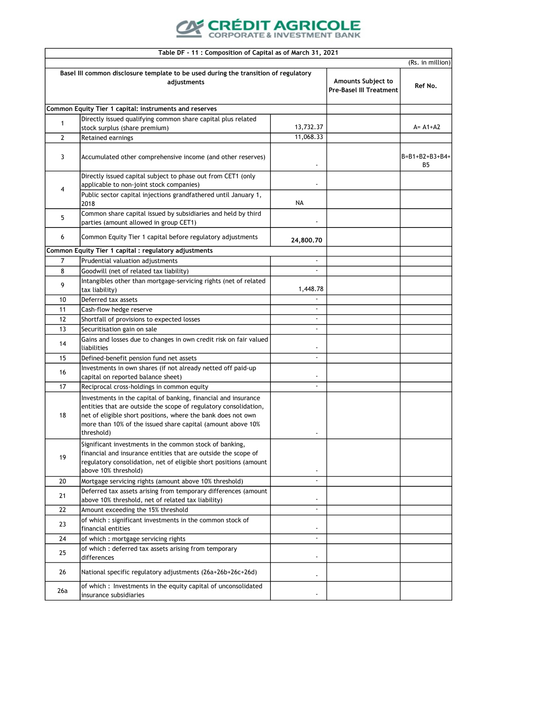

|                | Table DF - 11 : Composition of Capital as of March 31, 2021                                                                                                                                                                                                                     |                          |                                                             |                                 |
|----------------|---------------------------------------------------------------------------------------------------------------------------------------------------------------------------------------------------------------------------------------------------------------------------------|--------------------------|-------------------------------------------------------------|---------------------------------|
|                |                                                                                                                                                                                                                                                                                 |                          |                                                             | (Rs. in million)                |
|                | Basel III common disclosure template to be used during the transition of regulatory<br>adjustments                                                                                                                                                                              |                          | <b>Amounts Subject to</b><br><b>Pre-Basel III Treatment</b> | Ref No.                         |
|                | Common Equity Tier 1 capital: instruments and reserves                                                                                                                                                                                                                          |                          |                                                             |                                 |
|                | Directly issued qualifying common share capital plus related                                                                                                                                                                                                                    |                          |                                                             |                                 |
| 1              | stock surplus (share premium)                                                                                                                                                                                                                                                   | 13,732.37                |                                                             | $A = A1 + A2$                   |
| $\overline{2}$ | Retained earnings                                                                                                                                                                                                                                                               | 11,068.33                |                                                             |                                 |
| 3              | Accumulated other comprehensive income (and other reserves)                                                                                                                                                                                                                     |                          |                                                             | $B = B1 + B2 + B3 + B4 +$<br>B5 |
| 4              | Directly issued capital subject to phase out from CET1 (only<br>applicable to non-joint stock companies)                                                                                                                                                                        |                          |                                                             |                                 |
|                | Public sector capital injections grandfathered until January 1,<br>2018                                                                                                                                                                                                         | <b>NA</b>                |                                                             |                                 |
| 5              | Common share capital issued by subsidiaries and held by third<br>parties (amount allowed in group CET1)                                                                                                                                                                         |                          |                                                             |                                 |
| 6              | Common Equity Tier 1 capital before regulatory adjustments                                                                                                                                                                                                                      | 24,800.70                |                                                             |                                 |
|                | Common Equity Tier 1 capital : regulatory adjustments                                                                                                                                                                                                                           |                          |                                                             |                                 |
| 7              | Prudential valuation adjustments                                                                                                                                                                                                                                                |                          |                                                             |                                 |
| 8              | Goodwill (net of related tax liability)                                                                                                                                                                                                                                         | $\overline{\phantom{a}}$ |                                                             |                                 |
| 9              | Intangibles other than mortgage-servicing rights (net of related<br>tax liability)                                                                                                                                                                                              | 1,448.78                 |                                                             |                                 |
| 10             | Deferred tax assets                                                                                                                                                                                                                                                             |                          |                                                             |                                 |
| 11             | Cash-flow hedge reserve                                                                                                                                                                                                                                                         | $\overline{\phantom{a}}$ |                                                             |                                 |
| 12             | Shortfall of provisions to expected losses                                                                                                                                                                                                                                      | $\overline{\phantom{a}}$ |                                                             |                                 |
| 13             | Securitisation gain on sale                                                                                                                                                                                                                                                     | $\blacksquare$           |                                                             |                                 |
| 14             | Gains and losses due to changes in own credit risk on fair valued<br>liabilities                                                                                                                                                                                                | $\overline{\phantom{a}}$ |                                                             |                                 |
| 15             | Defined-benefit pension fund net assets                                                                                                                                                                                                                                         |                          |                                                             |                                 |
| 16             | Investments in own shares (if not already netted off paid-up<br>capital on reported balance sheet)                                                                                                                                                                              | $\overline{\phantom{a}}$ |                                                             |                                 |
| 17             | Reciprocal cross-holdings in common equity                                                                                                                                                                                                                                      | $\overline{\phantom{a}}$ |                                                             |                                 |
| 18             | Investments in the capital of banking, financial and insurance<br>entities that are outside the scope of regulatory consolidation,<br>net of eligible short positions, where the bank does not own<br>more than 10% of the issued share capital (amount above 10%<br>threshold) |                          |                                                             |                                 |
| 19             | Significant investments in the common stock of banking,<br>financial and insurance entities that are outside the scope of<br>regulatory consolidation, net of eligible short positions (amount<br>above 10% threshold)                                                          |                          |                                                             |                                 |
| 20             | Mortgage servicing rights (amount above 10% threshold)                                                                                                                                                                                                                          | $\overline{a}$           |                                                             |                                 |
| 21             | Deferred tax assets arising from temporary differences (amount<br>above 10% threshold, net of related tax liability)                                                                                                                                                            | $\overline{a}$           |                                                             |                                 |
| 22             | Amount exceeding the 15% threshold                                                                                                                                                                                                                                              | $\blacksquare$           |                                                             |                                 |
| 23             | of which : significant investments in the common stock of<br>financial entities                                                                                                                                                                                                 |                          |                                                             |                                 |
| 24             | of which : mortgage servicing rights                                                                                                                                                                                                                                            | $\blacksquare$           |                                                             |                                 |
| 25             | of which : deferred tax assets arising from temporary<br>differences                                                                                                                                                                                                            | $\overline{\phantom{a}}$ |                                                             |                                 |
| 26             | National specific regulatory adjustments (26a+26b+26c+26d)                                                                                                                                                                                                                      | $\overline{\phantom{a}}$ |                                                             |                                 |
| 26a            | of which : Investments in the equity capital of unconsolidated<br>insurance subsidiaries                                                                                                                                                                                        | $\overline{\phantom{a}}$ |                                                             |                                 |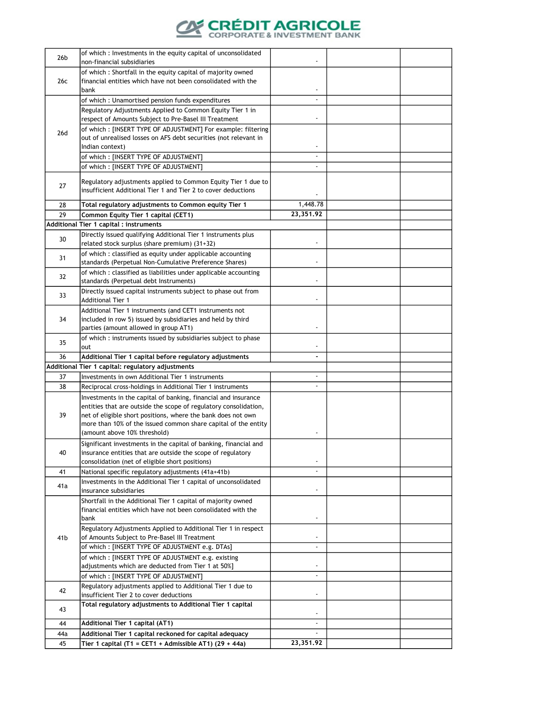

| 26 <sub>b</sub> | of which : Investments in the equity capital of unconsolidated<br>non-financial subsidiaries                   |                          |  |
|-----------------|----------------------------------------------------------------------------------------------------------------|--------------------------|--|
|                 | of which: Shortfall in the equity capital of majority owned                                                    |                          |  |
| 26c             | financial entities which have not been consolidated with the                                                   |                          |  |
|                 | bank                                                                                                           |                          |  |
|                 | of which : Unamortised pension funds expenditures                                                              |                          |  |
|                 | Regulatory Adjustments Applied to Common Equity Tier 1 in                                                      |                          |  |
|                 | respect of Amounts Subject to Pre-Basel III Treatment                                                          | $\overline{\phantom{a}}$ |  |
| 26d             | of which: [INSERT TYPE OF ADJUSTMENT] For example: filtering                                                   |                          |  |
|                 | out of unrealised losses on AFS debt securities (not relevant in                                               |                          |  |
|                 | Indian context)                                                                                                | $\overline{\phantom{a}}$ |  |
|                 | of which: [INSERT TYPE OF ADJUSTMENT]                                                                          | $\frac{1}{2}$            |  |
|                 | of which : [INSERT TYPE OF ADJUSTMENT]                                                                         |                          |  |
|                 | Regulatory adjustments applied to Common Equity Tier 1 due to                                                  |                          |  |
| 27              | insufficient Additional Tier 1 and Tier 2 to cover deductions                                                  |                          |  |
| 28              | Total regulatory adjustments to Common equity Tier 1                                                           | 1,448.78                 |  |
| 29              |                                                                                                                | 23,351.92                |  |
|                 | Common Equity Tier 1 capital (CET1)<br>Additional Tier 1 capital : instruments                                 |                          |  |
|                 |                                                                                                                |                          |  |
| 30              | Directly issued qualifying Additional Tier 1 instruments plus<br>related stock surplus (share premium) (31+32) |                          |  |
|                 | of which: classified as equity under applicable accounting                                                     |                          |  |
| 31              | standards (Perpetual Non-Cumulative Preference Shares)                                                         |                          |  |
|                 | of which : classified as liabilities under applicable accounting                                               |                          |  |
| 32              | standards (Perpetual debt Instruments)                                                                         |                          |  |
|                 | Directly issued capital instruments subject to phase out from                                                  |                          |  |
| 33              | <b>Additional Tier 1</b>                                                                                       | $\overline{\phantom{a}}$ |  |
|                 | Additional Tier 1 instruments (and CET1 instruments not                                                        |                          |  |
| 34              | included in row 5) issued by subsidiaries and held by third                                                    |                          |  |
|                 | parties (amount allowed in group AT1)                                                                          |                          |  |
|                 | of which: instruments issued by subsidiaries subject to phase                                                  |                          |  |
| 35              | out                                                                                                            |                          |  |
| 36              | Additional Tier 1 capital before regulatory adjustments                                                        | ٠                        |  |
|                 | Additional Tier 1 capital: regulatory adjustments                                                              |                          |  |
| 37              | Investments in own Additional Tier 1 instruments                                                               |                          |  |
| 38              | Reciprocal cross-holdings in Additional Tier 1 instruments                                                     | $\blacksquare$           |  |
|                 | Investments in the capital of banking, financial and insurance                                                 |                          |  |
|                 | entities that are outside the scope of regulatory consolidation,                                               |                          |  |
| 39              | net of eligible short positions, where the bank does not own                                                   |                          |  |
|                 | more than 10% of the issued common share capital of the entity                                                 |                          |  |
|                 | (amount above 10% threshold)                                                                                   |                          |  |
|                 | Significant investments in the capital of banking, financial and                                               |                          |  |
| 40              | insurance entities that are outside the scope of regulatory                                                    |                          |  |
|                 | consolidation (net of eligible short positions)                                                                | $\overline{a}$           |  |
| 41              | National specific regulatory adjustments (41a+41b)                                                             |                          |  |
| 41a             | Investments in the Additional Tier 1 capital of unconsolidated<br>insurance subsidiaries                       |                          |  |
|                 | Shortfall in the Additional Tier 1 capital of majority owned                                                   |                          |  |
|                 | financial entities which have not been consolidated with the                                                   |                          |  |
|                 | bank                                                                                                           | $\overline{\phantom{a}}$ |  |
|                 | Regulatory Adjustments Applied to Additional Tier 1 in respect                                                 |                          |  |
| 41b             | of Amounts Subject to Pre-Basel III Treatment                                                                  |                          |  |
|                 | of which: [INSERT TYPE OF ADJUSTMENT e.g. DTAs]                                                                |                          |  |
|                 | of which: [INSERT TYPE OF ADJUSTMENT e.g. existing                                                             |                          |  |
|                 | adjustments which are deducted from Tier 1 at 50%]                                                             | -                        |  |
|                 | of which: [INSERT TYPE OF ADJUSTMENT]                                                                          | $\overline{\phantom{a}}$ |  |
|                 | Regulatory adjustments applied to Additional Tier 1 due to                                                     |                          |  |
| 42              | insufficient Tier 2 to cover deductions                                                                        |                          |  |
| 43              | Total regulatory adjustments to Additional Tier 1 capital                                                      |                          |  |
|                 |                                                                                                                |                          |  |
| 44              | Additional Tier 1 capital (AT1)                                                                                |                          |  |
| 44a             | Additional Tier 1 capital reckoned for capital adequacy                                                        |                          |  |
| 45              | Tier 1 capital (T1 = CET1 + Admissible AT1) (29 + 44a)                                                         | 23,351.92                |  |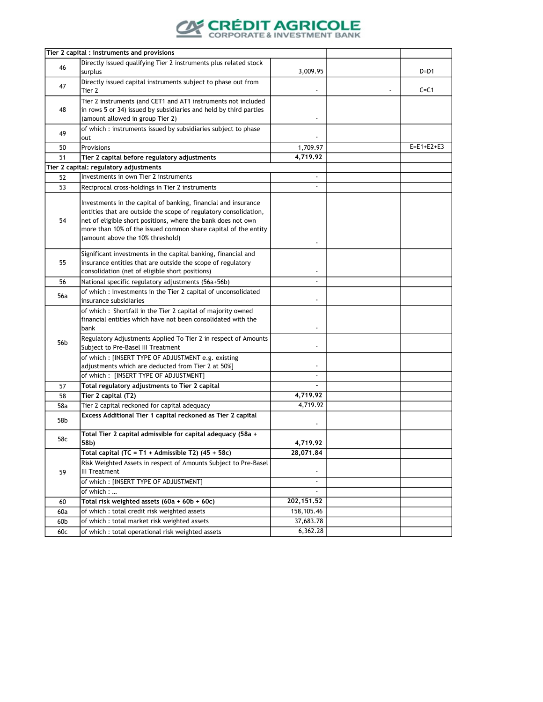

|                 | Tier 2 capital : instruments and provisions                                                                                                                                                                                                                                                              |                          |              |
|-----------------|----------------------------------------------------------------------------------------------------------------------------------------------------------------------------------------------------------------------------------------------------------------------------------------------------------|--------------------------|--------------|
| 46              | Directly issued qualifying Tier 2 instruments plus related stock<br>surplus                                                                                                                                                                                                                              | 3,009.95                 | D=D1         |
| 47              | Directly issued capital instruments subject to phase out from<br>Tier 2                                                                                                                                                                                                                                  |                          | $C = C1$     |
| 48              | Tier 2 instruments (and CET1 and AT1 instruments not included<br>in rows 5 or 34) issued by subsidiaries and held by third parties<br>(amount allowed in group Tier 2)                                                                                                                                   | $\overline{\phantom{a}}$ |              |
| 49              | of which : instruments issued by subsidiaries subject to phase<br>out                                                                                                                                                                                                                                    |                          |              |
| 50              | Provisions                                                                                                                                                                                                                                                                                               | 1,709.97                 | $E=E1+E2+E3$ |
| 51              | Tier 2 capital before regulatory adjustments                                                                                                                                                                                                                                                             | 4,719.92                 |              |
|                 | Tier 2 capital: regulatory adjustments                                                                                                                                                                                                                                                                   |                          |              |
| 52              | Investments in own Tier 2 instruments                                                                                                                                                                                                                                                                    | $\blacksquare$           |              |
| 53              | Reciprocal cross-holdings in Tier 2 instruments                                                                                                                                                                                                                                                          |                          |              |
| 54              | Investments in the capital of banking, financial and insurance<br>entities that are outside the scope of regulatory consolidation,<br>net of eligible short positions, where the bank does not own<br>more than 10% of the issued common share capital of the entity<br>(amount above the 10% threshold) |                          |              |
| 55              | Significant investments in the capital banking, financial and<br>insurance entities that are outside the scope of regulatory<br>consolidation (net of eligible short positions)                                                                                                                          | $\overline{\phantom{a}}$ |              |
| 56              | National specific regulatory adjustments (56a+56b)                                                                                                                                                                                                                                                       |                          |              |
| 56a             | of which: Investments in the Tier 2 capital of unconsolidated<br>insurance subsidiaries                                                                                                                                                                                                                  |                          |              |
| 56 <sub>b</sub> | of which: Shortfall in the Tier 2 capital of majority owned<br>financial entities which have not been consolidated with the<br>bank<br>Regulatory Adjustments Applied To Tier 2 in respect of Amounts                                                                                                    | $\overline{\phantom{a}}$ |              |
|                 | Subject to Pre-Basel III Treatment<br>of which: [INSERT TYPE OF ADJUSTMENT e.g. existing                                                                                                                                                                                                                 | $\overline{\phantom{a}}$ |              |
|                 | adjustments which are deducted from Tier 2 at 50%]<br>of which: [INSERT TYPE OF ADJUSTMENT]                                                                                                                                                                                                              |                          |              |
| 57              | Total regulatory adjustments to Tier 2 capital                                                                                                                                                                                                                                                           |                          |              |
| 58              | Tier 2 capital (T2)                                                                                                                                                                                                                                                                                      | 4,719.92                 |              |
| 58a             | Tier 2 capital reckoned for capital adequacy                                                                                                                                                                                                                                                             | 4,719.92                 |              |
| 58b             | Excess Additional Tier 1 capital reckoned as Tier 2 capital                                                                                                                                                                                                                                              |                          |              |
| 58c             | Total Tier 2 capital admissible for capital adequacy (58a +<br>58b)                                                                                                                                                                                                                                      | 4,719.92                 |              |
|                 | Total capital (TC = T1 + Admissible T2) $(45 + 58c)$                                                                                                                                                                                                                                                     | 28,071.84                |              |
| 59              | Risk Weighted Assets in respect of Amounts Subject to Pre-Basel<br>III Treatment<br>of which: [INSERT TYPE OF ADJUSTMENT]                                                                                                                                                                                | $\overline{\phantom{a}}$ |              |
|                 | of which:                                                                                                                                                                                                                                                                                                |                          |              |
| 60              | Total risk weighted assets (60a + 60b + 60c)                                                                                                                                                                                                                                                             | 202, 151.52              |              |
| 60a             | of which : total credit risk weighted assets                                                                                                                                                                                                                                                             | 158,105.46               |              |
| 60b             | of which : total market risk weighted assets                                                                                                                                                                                                                                                             | 37,683.78                |              |
| 60c             | of which : total operational risk weighted assets                                                                                                                                                                                                                                                        | 6,362.28                 |              |
|                 |                                                                                                                                                                                                                                                                                                          |                          |              |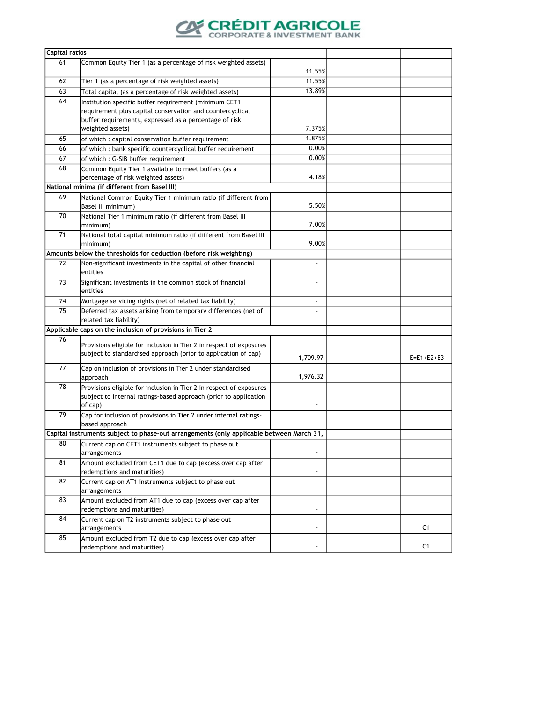

| <b>Capital ratios</b> |                                                                                          |                          |                    |
|-----------------------|------------------------------------------------------------------------------------------|--------------------------|--------------------|
| 61                    | Common Equity Tier 1 (as a percentage of risk weighted assets)                           | 11.55%                   |                    |
| 62                    | Tier 1 (as a percentage of risk weighted assets)                                         | 11.55%                   |                    |
| 63                    | Total capital (as a percentage of risk weighted assets)                                  | 13.89%                   |                    |
| 64                    | Institution specific buffer requirement (minimum CET1                                    |                          |                    |
|                       | requirement plus capital conservation and countercyclical                                |                          |                    |
|                       | buffer requirements, expressed as a percentage of risk                                   |                          |                    |
|                       | weighted assets)                                                                         | 7.375%                   |                    |
| 65                    | of which : capital conservation buffer requirement                                       | 1.875%                   |                    |
| 66                    | of which : bank specific countercyclical buffer requirement                              | 0.00%                    |                    |
| 67                    | of which: G-SIB buffer requirement                                                       | 0.00%                    |                    |
| 68                    | Common Equity Tier 1 available to meet buffers (as a                                     |                          |                    |
|                       | percentage of risk weighted assets)                                                      | 4.18%                    |                    |
|                       | National minima (if different from Basel III)                                            |                          |                    |
| 69                    | National Common Equity Tier 1 minimum ratio (if different from                           |                          |                    |
|                       | Basel III minimum)                                                                       | 5.50%                    |                    |
| 70                    | National Tier 1 minimum ratio (if different from Basel III                               |                          |                    |
|                       | minimum)                                                                                 | 7.00%                    |                    |
| 71                    | National total capital minimum ratio (if different from Basel III                        |                          |                    |
|                       | minimum)                                                                                 | 9.00%                    |                    |
|                       | Amounts below the thresholds for deduction (before risk weighting)                       |                          |                    |
| 72                    | Non-significant investments in the capital of other financial                            |                          |                    |
|                       | entities                                                                                 |                          |                    |
| 73                    | Significant investments in the common stock of financial                                 |                          |                    |
|                       | entities                                                                                 |                          |                    |
| 74                    | Mortgage servicing rights (net of related tax liability)                                 | $\overline{\phantom{a}}$ |                    |
| 75                    | Deferred tax assets arising from temporary differences (net of                           |                          |                    |
|                       | related tax liability)                                                                   |                          |                    |
|                       | Applicable caps on the inclusion of provisions in Tier 2                                 |                          |                    |
| 76                    |                                                                                          |                          |                    |
|                       | Provisions eligible for inclusion in Tier 2 in respect of exposures                      |                          |                    |
|                       | subject to standardised approach (prior to application of cap)                           | 1,709.97                 | $E = E1 + E2 + E3$ |
| 77                    | Cap on inclusion of provisions in Tier 2 under standardised                              |                          |                    |
|                       | approach                                                                                 | 1,976.32                 |                    |
| 78                    | Provisions eligible for inclusion in Tier 2 in respect of exposures                      |                          |                    |
|                       | subject to internal ratings-based approach (prior to application                         |                          |                    |
|                       | of cap)                                                                                  |                          |                    |
| 79                    | Cap for inclusion of provisions in Tier 2 under internal ratings-                        |                          |                    |
|                       | based approach                                                                           |                          |                    |
|                       | Capital instruments subject to phase-out arrangements (only applicable between March 31, |                          |                    |
| 80                    | Current cap on CET1 instruments subject to phase out                                     |                          |                    |
|                       | arrangements                                                                             | $\overline{\phantom{a}}$ |                    |
| 81                    | Amount excluded from CET1 due to cap (excess over cap after                              |                          |                    |
|                       | redemptions and maturities)                                                              | $\overline{\phantom{a}}$ |                    |
| 82                    | Current cap on AT1 instruments subject to phase out                                      |                          |                    |
|                       | arrangements                                                                             | $\blacksquare$           |                    |
| 83                    | Amount excluded from AT1 due to cap (excess over cap after                               |                          |                    |
|                       | redemptions and maturities)                                                              | $\overline{\phantom{a}}$ |                    |
| 84                    | Current cap on T2 instruments subject to phase out                                       |                          |                    |
|                       | arrangements                                                                             | $\overline{\phantom{a}}$ | C <sub>1</sub>     |
| 85                    | Amount excluded from T2 due to cap (excess over cap after                                |                          |                    |
|                       | redemptions and maturities)                                                              |                          | C <sub>1</sub>     |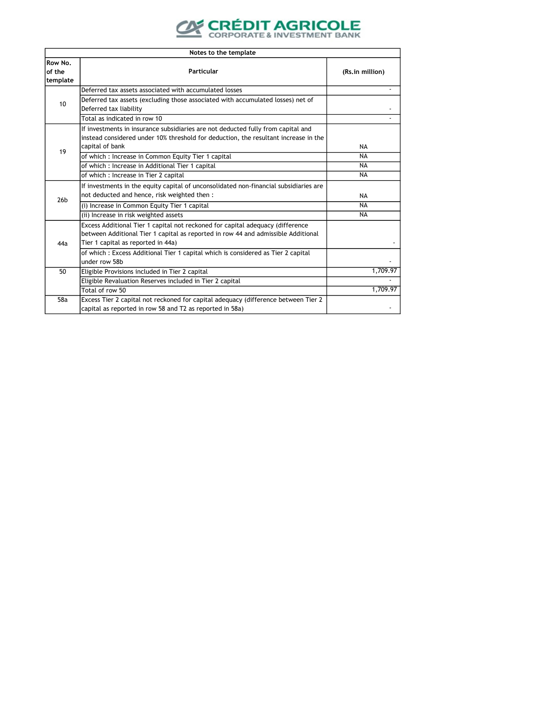

|                               | Notes to the template                                                                                                                                                                                     |                 |  |  |  |
|-------------------------------|-----------------------------------------------------------------------------------------------------------------------------------------------------------------------------------------------------------|-----------------|--|--|--|
| Row No.<br>of the<br>template | Particular                                                                                                                                                                                                | (Rs.in million) |  |  |  |
|                               | Deferred tax assets associated with accumulated losses                                                                                                                                                    |                 |  |  |  |
| 10                            | Deferred tax assets (excluding those associated with accumulated losses) net of<br>Deferred tax liability                                                                                                 |                 |  |  |  |
|                               | Total as indicated in row 10                                                                                                                                                                              |                 |  |  |  |
|                               | If investments in insurance subsidiaries are not deducted fully from capital and<br>instead considered under 10% threshold for deduction, the resultant increase in the<br>capital of bank                | <b>NA</b>       |  |  |  |
| 19                            | of which: Increase in Common Equity Tier 1 capital                                                                                                                                                        | NA              |  |  |  |
|                               | of which : Increase in Additional Tier 1 capital                                                                                                                                                          | <b>NA</b>       |  |  |  |
|                               | of which : Increase in Tier 2 capital                                                                                                                                                                     | <b>NA</b>       |  |  |  |
| 26 <sub>b</sub>               | If investments in the equity capital of unconsolidated non-financial subsidiaries are<br>not deducted and hence, risk weighted then:                                                                      | <b>NA</b>       |  |  |  |
|                               | (i) Increase in Common Equity Tier 1 capital                                                                                                                                                              | <b>NA</b>       |  |  |  |
|                               | (ii) Increase in risk weighted assets                                                                                                                                                                     | <b>NA</b>       |  |  |  |
| 44a                           | Excess Additional Tier 1 capital not reckoned for capital adequacy (difference<br>between Additional Tier 1 capital as reported in row 44 and admissible Additional<br>Tier 1 capital as reported in 44a) |                 |  |  |  |
|                               | of which: Excess Additional Tier 1 capital which is considered as Tier 2 capital<br>under row 58b                                                                                                         |                 |  |  |  |
| 50                            | Eligible Provisions included in Tier 2 capital                                                                                                                                                            | 1,709.97        |  |  |  |
|                               | Eligible Revaluation Reserves included in Tier 2 capital                                                                                                                                                  | 1,709.97        |  |  |  |
|                               | Total of row 50                                                                                                                                                                                           |                 |  |  |  |
| 58a                           | Excess Tier 2 capital not reckoned for capital adequacy (difference between Tier 2<br>capital as reported in row 58 and T2 as reported in 58a)                                                            |                 |  |  |  |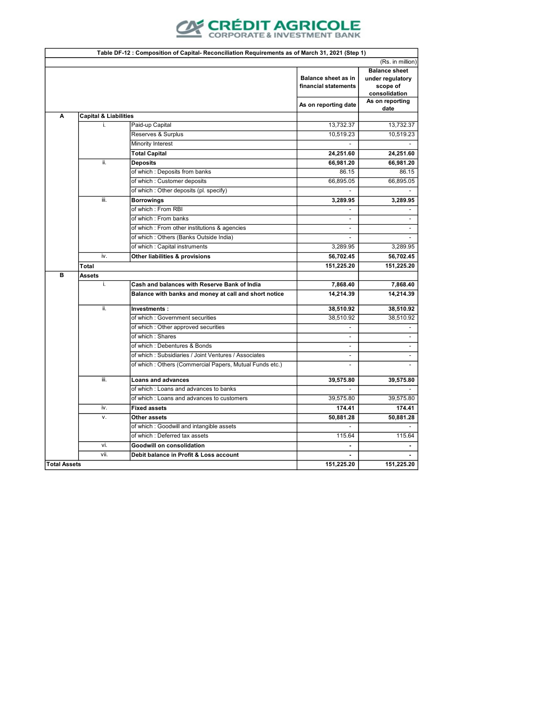

| Table DF-12 : Composition of Capital- Reconciliation Requirements as of March 31, 2021 (Step 1) |                                  |                                                         |                                                    |                                                                       |
|-------------------------------------------------------------------------------------------------|----------------------------------|---------------------------------------------------------|----------------------------------------------------|-----------------------------------------------------------------------|
|                                                                                                 |                                  |                                                         |                                                    | (Rs. in million)                                                      |
|                                                                                                 |                                  |                                                         | <b>Balance sheet as in</b><br>financial statements | <b>Balance sheet</b><br>under regulatory<br>scope of<br>consolidation |
|                                                                                                 |                                  |                                                         | As on reporting date                               | As on reporting<br>date                                               |
| A                                                                                               | <b>Capital &amp; Liabilities</b> |                                                         |                                                    |                                                                       |
|                                                                                                 | j.                               | Paid-up Capital                                         | 13,732.37                                          | 13,732.37                                                             |
|                                                                                                 |                                  | Reserves & Surplus                                      | 10,519.23                                          | 10,519.23                                                             |
|                                                                                                 |                                  | Minority Interest                                       |                                                    |                                                                       |
|                                                                                                 |                                  | <b>Total Capital</b>                                    | 24,251.60                                          | 24,251.60                                                             |
|                                                                                                 | ii.                              | <b>Deposits</b>                                         | 66,981.20                                          | 66,981.20                                                             |
|                                                                                                 |                                  | of which: Deposits from banks                           | 86.15                                              | 86.15                                                                 |
|                                                                                                 |                                  | of which : Customer deposits                            | 66,895.05                                          | 66,895.05                                                             |
|                                                                                                 |                                  | of which : Other deposits (pl. specify)                 |                                                    |                                                                       |
|                                                                                                 | iii.                             | <b>Borrowings</b>                                       | 3,289.95                                           | 3,289.95                                                              |
|                                                                                                 |                                  | of which: From RBI                                      |                                                    |                                                                       |
|                                                                                                 |                                  | of which : From banks                                   | $\overline{\phantom{a}}$                           | $\overline{\phantom{0}}$                                              |
|                                                                                                 |                                  | of which : From other institutions & agencies           | $\overline{a}$                                     | $\blacksquare$                                                        |
|                                                                                                 |                                  | of which: Others (Banks Outside India)                  |                                                    |                                                                       |
|                                                                                                 |                                  | of which : Capital instruments                          | 3,289.95                                           | 3,289.95                                                              |
|                                                                                                 | iv.                              | Other liabilities & provisions                          | 56,702.45                                          | 56,702.45                                                             |
|                                                                                                 | Total                            |                                                         | 151,225.20                                         | 151,225.20                                                            |
| B                                                                                               | Assets                           |                                                         |                                                    |                                                                       |
|                                                                                                 | i.                               | Cash and balances with Reserve Bank of India            | 7,868.40                                           | 7,868.40                                                              |
|                                                                                                 |                                  | Balance with banks and money at call and short notice   | 14,214.39                                          | 14,214.39                                                             |
|                                                                                                 | ii.                              | Investments:                                            | 38,510.92                                          | 38,510.92                                                             |
|                                                                                                 |                                  | of which: Government securities                         | 38,510.92                                          | 38,510.92                                                             |
|                                                                                                 |                                  | of which : Other approved securities                    |                                                    |                                                                       |
|                                                                                                 |                                  | of which: Shares                                        | $\blacksquare$                                     | $\blacksquare$                                                        |
|                                                                                                 |                                  | of which: Debentures & Bonds                            | $\blacksquare$                                     | $\overline{\phantom{0}}$                                              |
|                                                                                                 |                                  | of which: Subsidiaries / Joint Ventures / Associates    |                                                    | $\overline{\phantom{0}}$                                              |
|                                                                                                 |                                  | of which: Others (Commercial Papers, Mutual Funds etc.) | $\overline{a}$                                     | $\overline{a}$                                                        |
|                                                                                                 | iii.                             | <b>Loans and advances</b>                               | 39,575.80                                          | 39,575.80                                                             |
|                                                                                                 |                                  | of which: Loans and advances to banks                   |                                                    |                                                                       |
|                                                                                                 |                                  | of which: Loans and advances to customers               | 39,575.80                                          | 39,575.80                                                             |
|                                                                                                 | iv.                              | <b>Fixed assets</b>                                     | 174.41                                             | 174.41                                                                |
|                                                                                                 | V.                               | Other assets                                            | 50,881.28                                          | 50,881.28                                                             |
|                                                                                                 |                                  | of which : Goodwill and intangible assets               |                                                    |                                                                       |
|                                                                                                 |                                  | of which: Deferred tax assets                           | 115.64                                             | 115.64                                                                |
|                                                                                                 | vi.                              | <b>Goodwill on consolidation</b>                        |                                                    |                                                                       |
|                                                                                                 | vii.                             | Debit balance in Profit & Loss account                  |                                                    | $\blacksquare$                                                        |
| <b>Total Assets</b>                                                                             |                                  |                                                         | 151,225.20                                         | 151,225.20                                                            |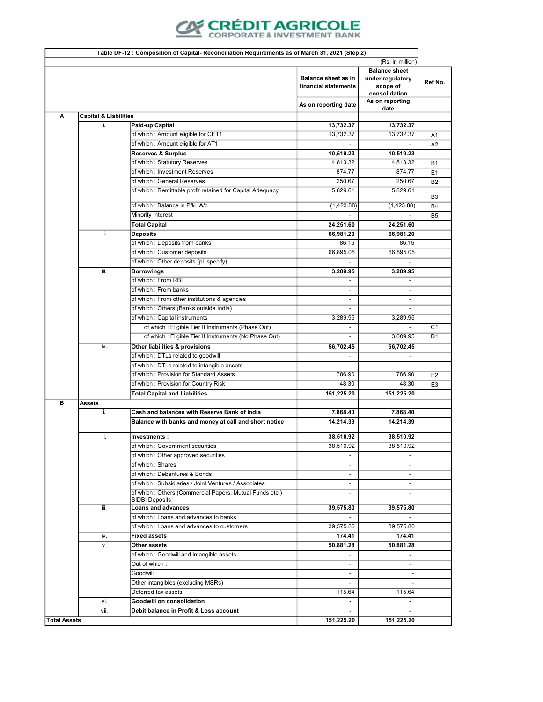

|                     | Table DF-12 : Composition of Capital- Reconciliation Requirements as of March 31, 2021 (Step 2)                             |                                                                                                                 |                          |                                            |                |
|---------------------|-----------------------------------------------------------------------------------------------------------------------------|-----------------------------------------------------------------------------------------------------------------|--------------------------|--------------------------------------------|----------------|
|                     | (Rs. in million)                                                                                                            |                                                                                                                 |                          |                                            |                |
|                     | <b>Balance sheet</b><br><b>Balance sheet as in</b><br>under regulatory<br>financial statements<br>scope of<br>consolidation |                                                                                                                 |                          |                                            |                |
|                     |                                                                                                                             |                                                                                                                 | As on reporting date     | As on reporting<br>date                    |                |
| А                   | <b>Capital &amp; Liabilities</b>                                                                                            |                                                                                                                 |                          |                                            |                |
|                     | j.                                                                                                                          | Paid-up Capital                                                                                                 | 13,732.37                | 13,732.37                                  |                |
|                     |                                                                                                                             | of which : Amount eligible for CET1                                                                             | 13,732.37                | 13,732.37                                  | A1             |
|                     |                                                                                                                             | of which: Amount eligible for AT1                                                                               |                          |                                            | A <sub>2</sub> |
|                     |                                                                                                                             | <b>Reserves &amp; Surplus</b>                                                                                   | 10,519.23                | 10,519.23                                  |                |
|                     |                                                                                                                             | of which: Statutory Reserves                                                                                    | 4,813.32                 | 4,813.32                                   | <b>B1</b>      |
|                     |                                                                                                                             | of which: Investment Reserves                                                                                   | 874.77                   | 874.77                                     | E <sub>1</sub> |
|                     |                                                                                                                             | of which : General Reserves                                                                                     | 250.67                   | 250.67                                     | <b>B2</b>      |
|                     |                                                                                                                             | of which : Remittable profit retained for Capital Adequacy                                                      | 5,829.61                 | 5,829.61                                   | B <sub>3</sub> |
|                     |                                                                                                                             | of which : Balance in P&L A/c                                                                                   | (1,423.88)               | (1,423.88)                                 | <b>B4</b>      |
|                     |                                                                                                                             | Minority Interest                                                                                               |                          |                                            | B <sub>5</sub> |
|                     |                                                                                                                             | <b>Total Capital</b>                                                                                            | 24,251.60                | 24,251.60                                  |                |
|                     | ii.                                                                                                                         | <b>Deposits</b>                                                                                                 | 66,981.20                | 66,981.20                                  |                |
|                     |                                                                                                                             | of which : Deposits from banks                                                                                  | 86.15                    | 86.15                                      |                |
|                     |                                                                                                                             | of which: Customer deposits                                                                                     | 66,895.05                | 66,895.05                                  |                |
|                     |                                                                                                                             | of which : Other deposits (pl. specify)                                                                         |                          |                                            |                |
|                     | iii.                                                                                                                        | Borrowings<br>of which: From RBI                                                                                | 3,289.95                 | 3,289.95                                   |                |
|                     |                                                                                                                             | of which : From banks                                                                                           | $\sim$<br>$\blacksquare$ | $\overline{\phantom{a}}$<br>$\overline{a}$ |                |
|                     |                                                                                                                             | of which : From other institutions & agencies                                                                   | $\overline{\phantom{a}}$ | $\sim$                                     |                |
|                     |                                                                                                                             | of which: Others (Banks outside India)                                                                          | $\blacksquare$           |                                            |                |
|                     |                                                                                                                             | of which : Capital instruments                                                                                  | 3,289.95                 | 3,289.95                                   |                |
|                     |                                                                                                                             | of which : Eligible Tier II Instruments (Phase Out)                                                             |                          |                                            | C <sub>1</sub> |
|                     |                                                                                                                             | of which : Eligible Tier II Instruments (No Phase Out)                                                          | $\overline{a}$           | 3,009.95                                   | D <sub>1</sub> |
|                     | iv.                                                                                                                         | Other liabilities & provisions                                                                                  | 56,702.45                | 56,702.45                                  |                |
|                     |                                                                                                                             | of which: DTLs related to goodwill                                                                              |                          |                                            |                |
|                     |                                                                                                                             | of which : DTLs related to intangible assets                                                                    |                          |                                            |                |
|                     |                                                                                                                             | of which: Provision for Standard Assets                                                                         | 786.90                   | 786.90                                     | E <sub>2</sub> |
|                     |                                                                                                                             | of which: Provision for Country Risk                                                                            | 48.30                    | 48.30                                      | E <sub>3</sub> |
|                     |                                                                                                                             | <b>Total Capital and Liabilities</b>                                                                            | 151,225.20               | 151,225.20                                 |                |
| в                   | Assets                                                                                                                      |                                                                                                                 |                          |                                            |                |
|                     | i.                                                                                                                          | Cash and balances with Reserve Bank of India                                                                    | 7,868.40                 | 7,868.40                                   |                |
|                     |                                                                                                                             | Balance with banks and money at call and short notice                                                           | 14,214.39                | 14,214.39                                  |                |
|                     | ii.                                                                                                                         | Investments:                                                                                                    | 38,510.92                | 38,510.92                                  |                |
|                     |                                                                                                                             | of which : Government securities                                                                                | 38,510.92                | 38,510.92                                  |                |
|                     |                                                                                                                             | of which: Other approved securities                                                                             |                          |                                            |                |
|                     |                                                                                                                             | of which: Shares                                                                                                | $\overline{\phantom{a}}$ | $\overline{\phantom{0}}$                   |                |
|                     |                                                                                                                             | of which: Debentures & Bonds                                                                                    |                          |                                            |                |
|                     |                                                                                                                             | of which: Subsidiaries / Joint Ventures / Associates<br>of which: Others (Commercial Papers, Mutual Funds etc.) | $\overline{\phantom{a}}$ | $\overline{\phantom{0}}$                   |                |
|                     |                                                                                                                             | <b>SIDBI Deposits</b>                                                                                           | $\overline{\phantom{a}}$ |                                            |                |
|                     | iii.                                                                                                                        | <b>Loans and advances</b>                                                                                       | 39,575.80                | 39,575.80                                  |                |
|                     |                                                                                                                             | of which: Loans and advances to banks<br>of which: Loans and advances to customers                              | 39,575.80                | 39,575.80                                  |                |
|                     | iv.                                                                                                                         | <b>Fixed assets</b>                                                                                             | 174.41                   | 174.41                                     |                |
|                     | v.                                                                                                                          | Other assets                                                                                                    | 50,881.28                | 50,881.28                                  |                |
|                     |                                                                                                                             | of which: Goodwill and intangible assets                                                                        |                          |                                            |                |
|                     |                                                                                                                             | Out of which :                                                                                                  | $\overline{\phantom{a}}$ |                                            |                |
|                     |                                                                                                                             | Goodwill                                                                                                        | $\sim$                   |                                            |                |
|                     |                                                                                                                             | Other intangibles (excluding MSRs)                                                                              |                          |                                            |                |
|                     |                                                                                                                             | Deferred tax assets                                                                                             | 115.64                   | 115.64                                     |                |
|                     | vi.                                                                                                                         | Goodwill on consolidation                                                                                       |                          |                                            |                |
|                     | vii.                                                                                                                        | Debit balance in Profit & Loss account                                                                          |                          |                                            |                |
| <b>Total Assets</b> |                                                                                                                             |                                                                                                                 | 151,225.20               | 151,225.20                                 |                |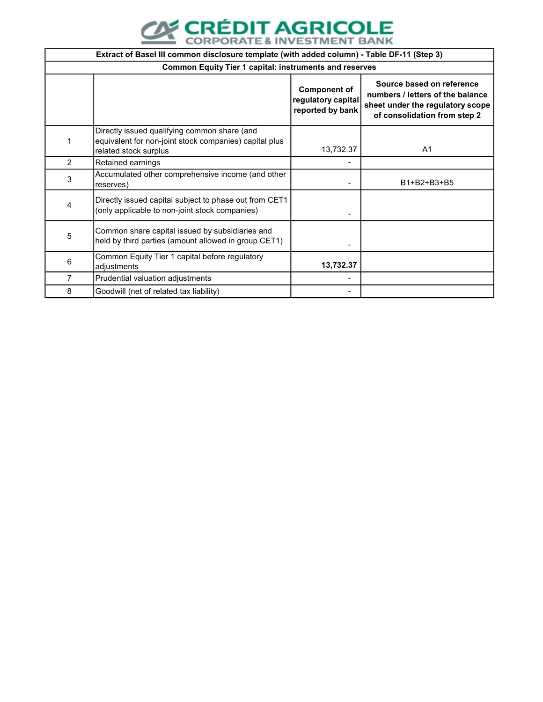

|                | Extract of Basel III common disclosure template (with added column) - Table DF-11 (Step 3)                                      |                                                               |                                                                                                                                   |  |  |
|----------------|---------------------------------------------------------------------------------------------------------------------------------|---------------------------------------------------------------|-----------------------------------------------------------------------------------------------------------------------------------|--|--|
|                | <b>Common Equity Tier 1 capital: instruments and reserves</b>                                                                   |                                                               |                                                                                                                                   |  |  |
|                |                                                                                                                                 | <b>Component of</b><br>regulatory capital<br>reported by bank | Source based on reference<br>numbers / letters of the balance<br>sheet under the regulatory scope<br>of consolidation from step 2 |  |  |
| 1              | Directly issued qualifying common share (and<br>equivalent for non-joint stock companies) capital plus<br>related stock surplus | 13,732.37                                                     | A <sub>1</sub>                                                                                                                    |  |  |
| $\overline{2}$ | Retained earnings                                                                                                               |                                                               |                                                                                                                                   |  |  |
| 3              | Accumulated other comprehensive income (and other<br>reserves)                                                                  |                                                               | B1+B2+B3+B5                                                                                                                       |  |  |
| 4              | Directly issued capital subject to phase out from CET1<br>(only applicable to non-joint stock companies)                        |                                                               |                                                                                                                                   |  |  |
| 5              | Common share capital issued by subsidiaries and<br>held by third parties (amount allowed in group CET1)                         |                                                               |                                                                                                                                   |  |  |
| 6              | Common Equity Tier 1 capital before regulatory<br>adjustments                                                                   | 13,732.37                                                     |                                                                                                                                   |  |  |
| 7              | Prudential valuation adjustments                                                                                                |                                                               |                                                                                                                                   |  |  |
| 8              | Goodwill (net of related tax liability)                                                                                         |                                                               |                                                                                                                                   |  |  |